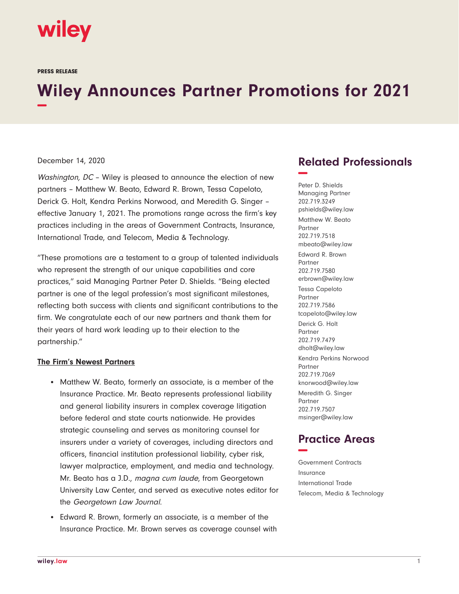

PRESS RELEASE

# **Wiley Announces Partner Promotions for 2021 −**

#### December 14, 2020

Washington, DC - Wiley is pleased to announce the election of new partners – Matthew W. Beato, Edward R. Brown, Tessa Capeloto, Derick G. Holt, Kendra Perkins Norwood, and Meredith G. Singer – effective January 1, 2021. The promotions range across the firm's key practices including in the areas of Government Contracts, Insurance, International Trade, and Telecom, Media & Technology.

"These promotions are a testament to a group of talented individuals who represent the strength of our unique capabilities and core practices," said Managing Partner Peter D. Shields. "Being elected partner is one of the legal profession's most significant milestones, reflecting both success with clients and significant contributions to the firm. We congratulate each of our new partners and thank them for their years of hard work leading up to their election to the partnership."

#### **The Firm's Newest Partners**

- Matthew W. Beato, formerly an associate, is a member of the Insurance Practice. Mr. Beato represents professional liability and general liability insurers in complex coverage litigation before federal and state courts nationwide. He provides strategic counseling and serves as monitoring counsel for insurers under a variety of coverages, including directors and officers, financial institution professional liability, cyber risk, lawyer malpractice, employment, and media and technology. Mr. Beato has a J.D., magna cum laude, from Georgetown University Law Center, and served as executive notes editor for the Georgetown Law Journal.
- Edward R. Brown, formerly an associate, is a member of the Insurance Practice. Mr. Brown serves as coverage counsel with

## **Related Professionals −**

Peter D. Shields Managing Partner 202.719.3249 pshields@wiley.law Matthew W. Beato Partner 202.719.7518 mbeato@wiley.law Edward R. Brown Partner 202.719.7580 erbrown@wiley.law Tessa Capeloto Partner 202.719.7586 tcapeloto@wiley.law Derick G. Holt **Partner** 202.719.7479 dholt@wiley.law Kendra Perkins Norwood Partner 202.719.7069 knorwood@wiley.law Meredith G. Singer Partner 202.719.7507 msinger@wiley.law

## **Practice Areas −**

Government Contracts Insurance International Trade Telecom, Media & Technology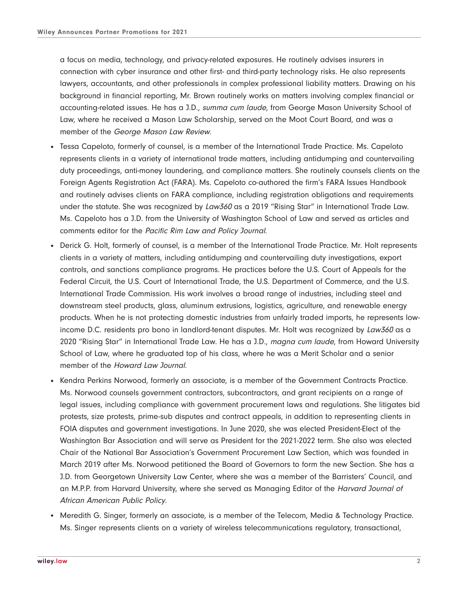a focus on media, technology, and privacy-related exposures. He routinely advises insurers in connection with cyber insurance and other first- and third-party technology risks. He also represents lawyers, accountants, and other professionals in complex professional liability matters. Drawing on his background in financial reporting, Mr. Brown routinely works on matters involving complex financial or accounting-related issues. He has a J.D., summa cum laude, from George Mason University School of Law, where he received a Mason Law Scholarship, served on the Moot Court Board, and was a member of the George Mason Law Review.

- Tessa Capeloto, formerly of counsel, is a member of the International Trade Practice. Ms. Capeloto represents clients in a variety of international trade matters, including antidumping and countervailing duty proceedings, anti-money laundering, and compliance matters. She routinely counsels clients on the Foreign Agents Registration Act (FARA). Ms. Capeloto co-authored the firm's FARA Issues Handbook and routinely advises clients on FARA compliance, including registration obligations and requirements under the statute. She was recognized by Law360 as a 2019 "Rising Star" in International Trade Law. Ms. Capeloto has a J.D. from the University of Washington School of Law and served as articles and comments editor for the Pacific Rim Law and Policy Journal.
- Derick G. Holt, formerly of counsel, is a member of the International Trade Practice. Mr. Holt represents clients in a variety of matters, including antidumping and countervailing duty investigations, export controls, and sanctions compliance programs. He practices before the U.S. Court of Appeals for the Federal Circuit, the U.S. Court of International Trade, the U.S. Department of Commerce, and the U.S. International Trade Commission. His work involves a broad range of industries, including steel and downstream steel products, glass, aluminum extrusions, logistics, agriculture, and renewable energy products. When he is not protecting domestic industries from unfairly traded imports, he represents lowincome D.C. residents pro bono in landlord-tenant disputes. Mr. Holt was recognized by Law360 as a 2020 "Rising Star" in International Trade Law. He has a J.D., magna cum laude, from Howard University School of Law, where he graduated top of his class, where he was a Merit Scholar and a senior member of the Howard Law Journal.
- Kendra Perkins Norwood, formerly an associate, is a member of the Government Contracts Practice. Ms. Norwood counsels government contractors, subcontractors, and grant recipients on a range of legal issues, including compliance with government procurement laws and regulations. She litigates bid protests, size protests, prime-sub disputes and contract appeals, in addition to representing clients in FOIA disputes and government investigations. In June 2020, she was elected President-Elect of the Washington Bar Association and will serve as President for the 2021-2022 term. She also was elected Chair of the National Bar Association's Government Procurement Law Section, which was founded in March 2019 after Ms. Norwood petitioned the Board of Governors to form the new Section. She has a J.D. from Georgetown University Law Center, where she was a member of the Barristers' Council, and an M.P.P. from Harvard University, where she served as Managing Editor of the Harvard Journal of African American Public Policy.
- Meredith G. Singer, formerly an associate, is a member of the Telecom, Media & Technology Practice. Ms. Singer represents clients on a variety of wireless telecommunications regulatory, transactional,